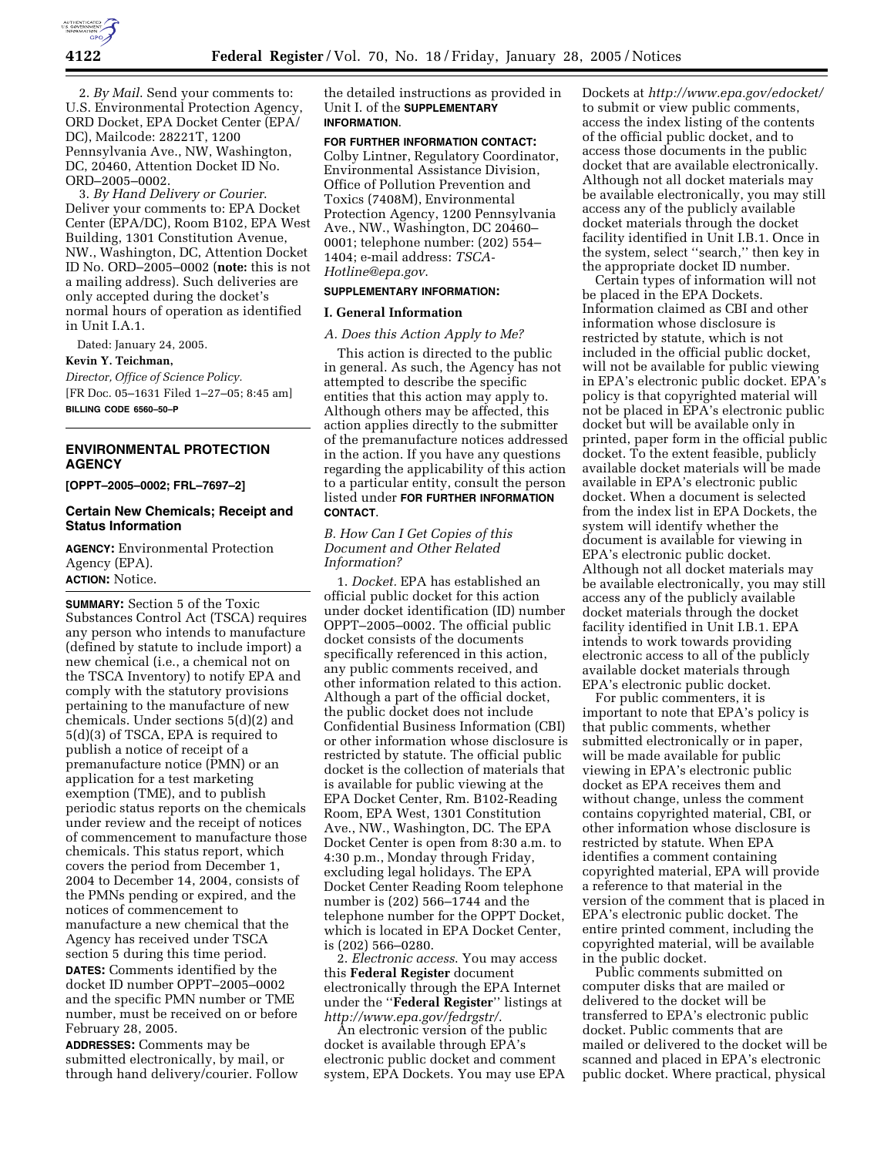

2. *By Mail*. Send your comments to: U.S. Environmental Protection Agency, ORD Docket, EPA Docket Center (EPA/ DC), Mailcode: 28221T, 1200 Pennsylvania Ave., NW, Washington, DC, 20460, Attention Docket ID No. ORD–2005–0002.

3. *By Hand Delivery or Courier*. Deliver your comments to: EPA Docket Center (EPA/DC), Room B102, EPA West Building, 1301 Constitution Avenue, NW., Washington, DC, Attention Docket ID No. ORD–2005–0002 (**note:** this is not a mailing address). Such deliveries are only accepted during the docket's normal hours of operation as identified in Unit I.A.1.

Dated: January 24, 2005.

# **Kevin Y. Teichman,**

*Director, Office of Science Policy.* [FR Doc. 05–1631 Filed 1–27–05; 8:45 am] **BILLING CODE 6560–50–P**

# **ENVIRONMENTAL PROTECTION AGENCY**

**[OPPT–2005–0002; FRL–7697–2]**

### **Certain New Chemicals; Receipt and Status Information**

**AGENCY:** Environmental Protection Agency (EPA). **ACTION:** Notice.

**SUMMARY:** Section 5 of the Toxic Substances Control Act (TSCA) requires any person who intends to manufacture (defined by statute to include import) a new chemical (i.e., a chemical not on the TSCA Inventory) to notify EPA and comply with the statutory provisions pertaining to the manufacture of new chemicals. Under sections 5(d)(2) and 5(d)(3) of TSCA, EPA is required to publish a notice of receipt of a premanufacture notice (PMN) or an application for a test marketing exemption (TME), and to publish periodic status reports on the chemicals under review and the receipt of notices of commencement to manufacture those chemicals. This status report, which covers the period from December 1, 2004 to December 14, 2004, consists of the PMNs pending or expired, and the notices of commencement to manufacture a new chemical that the Agency has received under TSCA section 5 during this time period. **DATES:** Comments identified by the docket ID number OPPT–2005–0002

and the specific PMN number or TME number, must be received on or before February 28, 2005. **ADDRESSES:** Comments may be

submitted electronically, by mail, or through hand delivery/courier. Follow

the detailed instructions as provided in Unit I. of the **SUPPLEMENTARY INFORMATION**.

### **FOR FURTHER INFORMATION CONTACT:**

Colby Lintner, Regulatory Coordinator, Environmental Assistance Division, Office of Pollution Prevention and Toxics (7408M), Environmental Protection Agency, 1200 Pennsylvania Ave., NW., Washington, DC 20460– 0001; telephone number: (202) 554– 1404; e-mail address: *TSCA-Hotline@epa.gov*.

### **SUPPLEMENTARY INFORMATION:**

### **I. General Information**

#### *A. Does this Action Apply to Me?*

This action is directed to the public in general. As such, the Agency has not attempted to describe the specific entities that this action may apply to. Although others may be affected, this action applies directly to the submitter of the premanufacture notices addressed in the action. If you have any questions regarding the applicability of this action to a particular entity, consult the person listed under **FOR FURTHER INFORMATION CONTACT**.

### *B. How Can I Get Copies of this Document and Other Related Information?*

1. *Docket.* EPA has established an official public docket for this action under docket identification (ID) number OPPT–2005–0002. The official public docket consists of the documents specifically referenced in this action, any public comments received, and other information related to this action. Although a part of the official docket, the public docket does not include Confidential Business Information (CBI) or other information whose disclosure is restricted by statute. The official public docket is the collection of materials that is available for public viewing at the EPA Docket Center, Rm. B102-Reading Room, EPA West, 1301 Constitution Ave., NW., Washington, DC. The EPA Docket Center is open from 8:30 a.m. to 4:30 p.m., Monday through Friday, excluding legal holidays. The EPA Docket Center Reading Room telephone number is (202) 566–1744 and the telephone number for the OPPT Docket, which is located in EPA Docket Center, is (202) 566–0280.

2. *Electronic access*. You may access this **Federal Register** document electronically through the EPA Internet under the ''**Federal Register**'' listings at *http://www.epa.gov/fedrgstr/*.

An electronic version of the public docket is available through EPA's electronic public docket and comment system, EPA Dockets. You may use EPA Dockets at *http://www.epa.gov/edocket/* to submit or view public comments, access the index listing of the contents of the official public docket, and to access those documents in the public docket that are available electronically. Although not all docket materials may be available electronically, you may still access any of the publicly available docket materials through the docket facility identified in Unit I.B.1. Once in the system, select ''search,'' then key in the appropriate docket ID number.

Certain types of information will not be placed in the EPA Dockets. Information claimed as CBI and other information whose disclosure is restricted by statute, which is not included in the official public docket, will not be available for public viewing in EPA's electronic public docket. EPA's policy is that copyrighted material will not be placed in EPA's electronic public docket but will be available only in printed, paper form in the official public docket. To the extent feasible, publicly available docket materials will be made available in EPA's electronic public docket. When a document is selected from the index list in EPA Dockets, the system will identify whether the document is available for viewing in EPA's electronic public docket. Although not all docket materials may be available electronically, you may still access any of the publicly available docket materials through the docket facility identified in Unit I.B.1. EPA intends to work towards providing electronic access to all of the publicly available docket materials through EPA's electronic public docket.

For public commenters, it is important to note that EPA's policy is that public comments, whether submitted electronically or in paper, will be made available for public viewing in EPA's electronic public docket as EPA receives them and without change, unless the comment contains copyrighted material, CBI, or other information whose disclosure is restricted by statute. When EPA identifies a comment containing copyrighted material, EPA will provide a reference to that material in the version of the comment that is placed in EPA's electronic public docket. The entire printed comment, including the copyrighted material, will be available in the public docket.

Public comments submitted on computer disks that are mailed or delivered to the docket will be transferred to EPA's electronic public docket. Public comments that are mailed or delivered to the docket will be scanned and placed in EPA's electronic public docket. Where practical, physical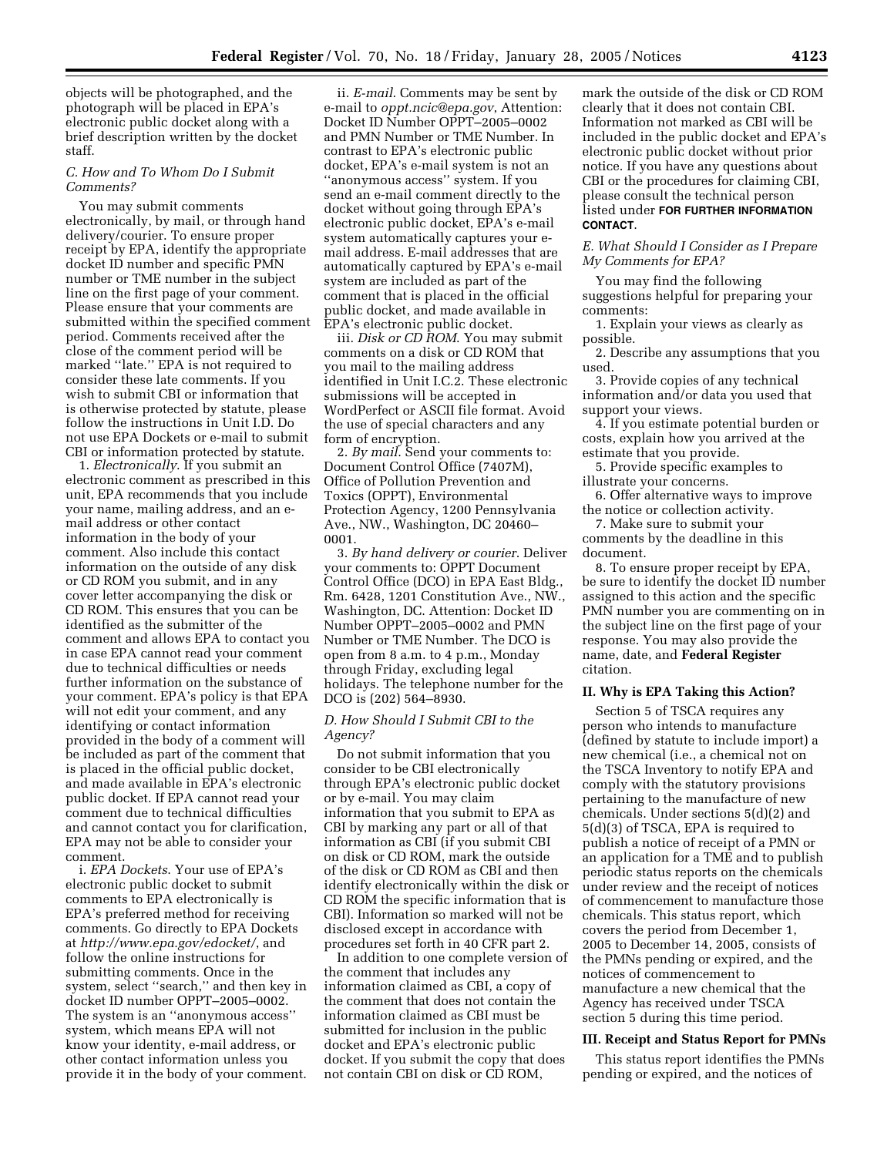objects will be photographed, and the photograph will be placed in EPA's electronic public docket along with a brief description written by the docket staff.

### *C. How and To Whom Do I Submit Comments?*

You may submit comments electronically, by mail, or through hand delivery/courier. To ensure proper receipt by EPA, identify the appropriate docket ID number and specific PMN number or TME number in the subject line on the first page of your comment. Please ensure that your comments are submitted within the specified comment period. Comments received after the close of the comment period will be marked ''late.'' EPA is not required to consider these late comments. If you wish to submit CBI or information that is otherwise protected by statute, please follow the instructions in Unit I.D. Do not use EPA Dockets or e-mail to submit CBI or information protected by statute.

1. *Electronically*. If you submit an electronic comment as prescribed in this unit, EPA recommends that you include your name, mailing address, and an email address or other contact information in the body of your comment. Also include this contact information on the outside of any disk or CD ROM you submit, and in any cover letter accompanying the disk or CD ROM. This ensures that you can be identified as the submitter of the comment and allows EPA to contact you in case EPA cannot read your comment due to technical difficulties or needs further information on the substance of your comment. EPA's policy is that EPA will not edit your comment, and any identifying or contact information provided in the body of a comment will be included as part of the comment that is placed in the official public docket, and made available in EPA's electronic public docket. If EPA cannot read your comment due to technical difficulties and cannot contact you for clarification, EPA may not be able to consider your comment.

i. *EPA Dockets*. Your use of EPA's electronic public docket to submit comments to EPA electronically is EPA's preferred method for receiving comments. Go directly to EPA Dockets at *http://www.epa.gov/edocket/*, and follow the online instructions for submitting comments. Once in the system, select ''search,'' and then key in docket ID number OPPT–2005–0002. The system is an ''anonymous access'' system, which means EPA will not know your identity, e-mail address, or other contact information unless you provide it in the body of your comment.

ii. *E-mail*. Comments may be sent by e-mail to *oppt.ncic@epa.gov*, Attention: Docket ID Number OPPT–2005–0002 and PMN Number or TME Number. In contrast to EPA's electronic public docket, EPA's e-mail system is not an ''anonymous access'' system. If you send an e-mail comment directly to the docket without going through EPA's electronic public docket, EPA's e-mail system automatically captures your email address. E-mail addresses that are automatically captured by EPA's e-mail system are included as part of the comment that is placed in the official public docket, and made available in EPA's electronic public docket.

iii. *Disk or CD ROM*. You may submit comments on a disk or CD ROM that you mail to the mailing address identified in Unit I.C.2. These electronic submissions will be accepted in WordPerfect or ASCII file format. Avoid the use of special characters and any form of encryption.

2. *By mail*. Send your comments to: Document Control Office (7407M), Office of Pollution Prevention and Toxics (OPPT), Environmental Protection Agency, 1200 Pennsylvania Ave., NW., Washington, DC 20460– 0001.

3. *By hand delivery or courier*. Deliver your comments to: OPPT Document Control Office (DCO) in EPA East Bldg., Rm. 6428, 1201 Constitution Ave., NW., Washington, DC. Attention: Docket ID Number OPPT–2005–0002 and PMN Number or TME Number. The DCO is open from 8 a.m. to 4 p.m., Monday through Friday, excluding legal holidays. The telephone number for the DCO is (202) 564–8930.

### *D. How Should I Submit CBI to the Agency?*

Do not submit information that you consider to be CBI electronically through EPA's electronic public docket or by e-mail. You may claim information that you submit to EPA as CBI by marking any part or all of that information as CBI (if you submit CBI on disk or CD ROM, mark the outside of the disk or CD ROM as CBI and then identify electronically within the disk or CD ROM the specific information that is CBI). Information so marked will not be disclosed except in accordance with procedures set forth in 40 CFR part 2.

In addition to one complete version of the comment that includes any information claimed as CBI, a copy of the comment that does not contain the information claimed as CBI must be submitted for inclusion in the public docket and EPA's electronic public docket. If you submit the copy that does not contain CBI on disk or CD ROM,

mark the outside of the disk or CD ROM clearly that it does not contain CBI. Information not marked as CBI will be included in the public docket and EPA's electronic public docket without prior notice. If you have any questions about CBI or the procedures for claiming CBI, please consult the technical person listed under **FOR FURTHER INFORMATION CONTACT**.

*E. What Should I Consider as I Prepare My Comments for EPA?*

You may find the following suggestions helpful for preparing your comments:

1. Explain your views as clearly as possible.

2. Describe any assumptions that you used.

3. Provide copies of any technical information and/or data you used that support your views.

4. If you estimate potential burden or costs, explain how you arrived at the estimate that you provide.

5. Provide specific examples to illustrate your concerns.

6. Offer alternative ways to improve the notice or collection activity.

7. Make sure to submit your comments by the deadline in this document.

8. To ensure proper receipt by EPA, be sure to identify the docket ID number assigned to this action and the specific PMN number you are commenting on in the subject line on the first page of your response. You may also provide the name, date, and **Federal Register** citation.

# **II. Why is EPA Taking this Action?**

Section 5 of TSCA requires any person who intends to manufacture (defined by statute to include import) a new chemical (i.e., a chemical not on the TSCA Inventory to notify EPA and comply with the statutory provisions pertaining to the manufacture of new chemicals. Under sections 5(d)(2) and 5(d)(3) of TSCA, EPA is required to publish a notice of receipt of a PMN or an application for a TME and to publish periodic status reports on the chemicals under review and the receipt of notices of commencement to manufacture those chemicals. This status report, which covers the period from December 1, 2005 to December 14, 2005, consists of the PMNs pending or expired, and the notices of commencement to manufacture a new chemical that the Agency has received under TSCA section 5 during this time period.

#### **III. Receipt and Status Report for PMNs**

This status report identifies the PMNs pending or expired, and the notices of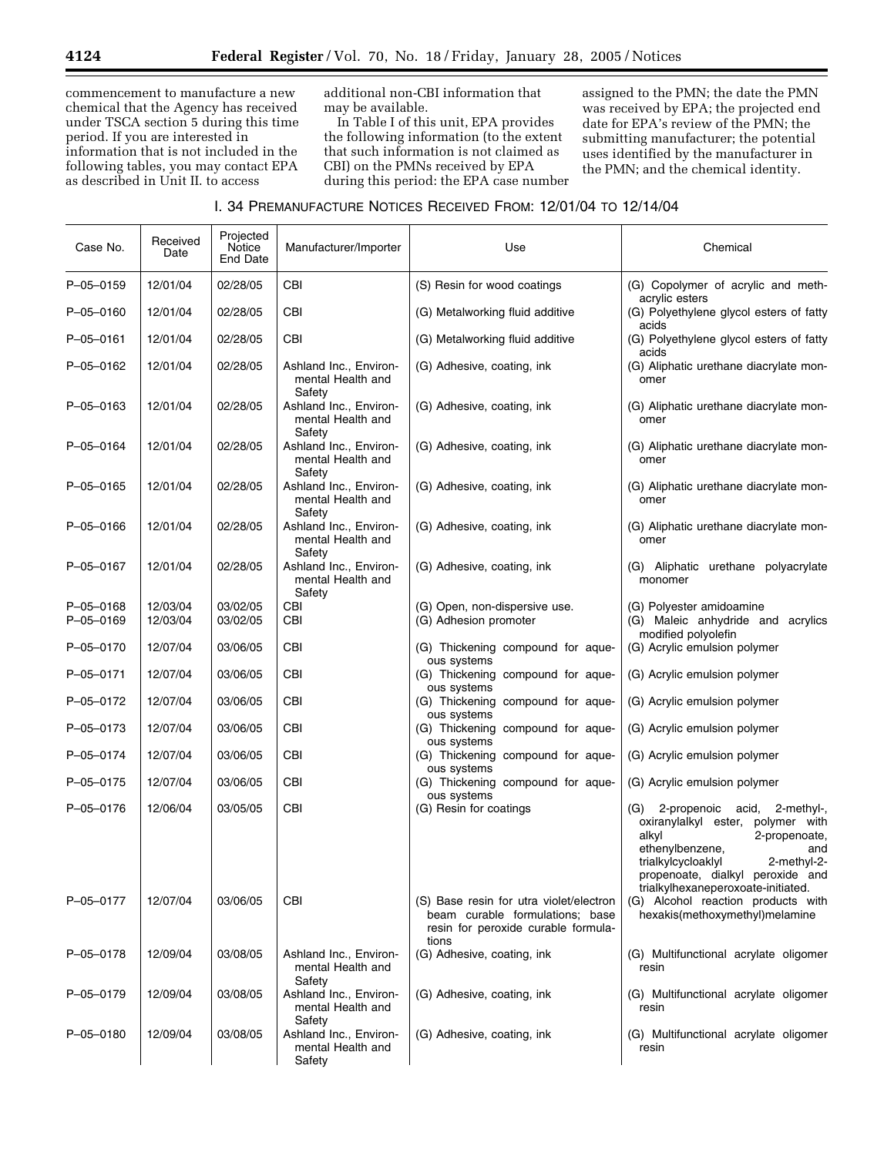commencement to manufacture a new chemical that the Agency has received under TSCA section 5 during this time period. If you are interested in information that is not included in the following tables, you may contact EPA as described in Unit II. to access

additional non-CBI information that may be available.

In Table I of this unit, EPA provides the following information (to the extent that such information is not claimed as CBI) on the PMNs received by EPA during this period: the EPA case number assigned to the PMN; the date the PMN was received by EPA; the projected end date for EPA's review of the PMN; the submitting manufacturer; the potential uses identified by the manufacturer in the PMN; and the chemical identity.

# I. 34 PREMANUFACTURE NOTICES RECEIVED FROM: 12/01/04 TO 12/14/04

| Case No.               | Received<br>Date     | Projected<br>Notice<br>End Date | Manufacturer/Importer                                 | Use                                                                                                                        | Chemical                                                                                                                                                                                                                                          |
|------------------------|----------------------|---------------------------------|-------------------------------------------------------|----------------------------------------------------------------------------------------------------------------------------|---------------------------------------------------------------------------------------------------------------------------------------------------------------------------------------------------------------------------------------------------|
| P-05-0159              | 12/01/04             | 02/28/05                        | <b>CBI</b>                                            | (S) Resin for wood coatings                                                                                                | (G) Copolymer of acrylic and meth-<br>acrylic esters                                                                                                                                                                                              |
| P-05-0160              | 12/01/04             | 02/28/05                        | CBI                                                   | (G) Metalworking fluid additive                                                                                            | (G) Polyethylene glycol esters of fatty<br>acids                                                                                                                                                                                                  |
| P-05-0161              | 12/01/04             | 02/28/05                        | CBI                                                   | (G) Metalworking fluid additive                                                                                            | (G) Polyethylene glycol esters of fatty<br>acids                                                                                                                                                                                                  |
| P-05-0162              | 12/01/04             | 02/28/05                        | Ashland Inc., Environ-<br>mental Health and<br>Safety | (G) Adhesive, coating, ink                                                                                                 | (G) Aliphatic urethane diacrylate mon-<br>omer                                                                                                                                                                                                    |
| $P - 05 - 0163$        | 12/01/04             | 02/28/05                        | Ashland Inc., Environ-<br>mental Health and<br>Safety | (G) Adhesive, coating, ink                                                                                                 | (G) Aliphatic urethane diacrylate mon-<br>omer                                                                                                                                                                                                    |
| P-05-0164              | 12/01/04             | 02/28/05                        | Ashland Inc., Environ-<br>mental Health and<br>Safety | (G) Adhesive, coating, ink                                                                                                 | (G) Aliphatic urethane diacrylate mon-<br>omer                                                                                                                                                                                                    |
| P-05-0165              | 12/01/04             | 02/28/05                        | Ashland Inc., Environ-<br>mental Health and<br>Safety | (G) Adhesive, coating, ink                                                                                                 | (G) Aliphatic urethane diacrylate mon-<br>omer                                                                                                                                                                                                    |
| P-05-0166              | 12/01/04             | 02/28/05                        | Ashland Inc., Environ-<br>mental Health and<br>Safety | (G) Adhesive, coating, ink                                                                                                 | (G) Aliphatic urethane diacrylate mon-<br>omer                                                                                                                                                                                                    |
| P-05-0167              | 12/01/04             | 02/28/05                        | Ashland Inc., Environ-<br>mental Health and<br>Safety | (G) Adhesive, coating, ink                                                                                                 | (G) Aliphatic urethane polyacrylate<br>monomer                                                                                                                                                                                                    |
| P-05-0168<br>P-05-0169 | 12/03/04<br>12/03/04 | 03/02/05<br>03/02/05            | CBI<br>CBI                                            | (G) Open, non-dispersive use.<br>(G) Adhesion promoter                                                                     | (G) Polyester amidoamine<br>(G) Maleic anhydride and acrylics<br>modified polyolefin                                                                                                                                                              |
| P-05-0170              | 12/07/04             | 03/06/05                        | <b>CBI</b>                                            | (G) Thickening compound for aque-<br>ous systems                                                                           | (G) Acrylic emulsion polymer                                                                                                                                                                                                                      |
| P-05-0171              | 12/07/04             | 03/06/05                        | <b>CBI</b>                                            | (G) Thickening compound for aque-<br>ous systems                                                                           | (G) Acrylic emulsion polymer                                                                                                                                                                                                                      |
| P-05-0172              | 12/07/04             | 03/06/05                        | CBI                                                   | (G) Thickening compound for aque-<br>ous systems                                                                           | (G) Acrylic emulsion polymer                                                                                                                                                                                                                      |
| P-05-0173              | 12/07/04             | 03/06/05                        | CBI                                                   | (G) Thickening compound for aque-<br>ous systems                                                                           | (G) Acrylic emulsion polymer                                                                                                                                                                                                                      |
| P-05-0174              | 12/07/04             | 03/06/05                        | <b>CBI</b>                                            | (G) Thickening compound for aque-<br>ous systems                                                                           | (G) Acrylic emulsion polymer                                                                                                                                                                                                                      |
| P-05-0175              | 12/07/04             | 03/06/05                        | <b>CBI</b>                                            | (G) Thickening compound for aque-<br>ous systems                                                                           | (G) Acrylic emulsion polymer                                                                                                                                                                                                                      |
| P-05-0176              | 12/06/04             | 03/05/05                        | CBI                                                   | (G) Resin for coatings                                                                                                     | 2-propenoic<br>acid,<br>2-methyl-,<br>(G)<br>oxiranylalkyl ester, polymer with<br>alkyl<br>2-propenoate,<br>ethenylbenzene,<br>and<br>trialkylcycloaklyl<br>2-methyl-2-<br>propenoate, dialkyl peroxide and<br>trialkylhexaneperoxoate-initiated. |
| P-05-0177              | 12/07/04             | 03/06/05                        | CBI                                                   | (S) Base resin for utra violet/electron<br>beam curable formulations; base<br>resin for peroxide curable formula-<br>tions | (G) Alcohol reaction products with<br>hexakis(methoxymethyl)melamine                                                                                                                                                                              |
| P-05-0178              | 12/09/04             | 03/08/05                        | Ashland Inc., Environ-<br>mental Health and<br>Safety | (G) Adhesive, coating, ink                                                                                                 | (G) Multifunctional acrylate oligomer<br>resin                                                                                                                                                                                                    |
| P-05-0179              | 12/09/04             | 03/08/05                        | Ashland Inc., Environ-<br>mental Health and<br>Safety | (G) Adhesive, coating, ink                                                                                                 | (G) Multifunctional acrylate oligomer<br>resin                                                                                                                                                                                                    |
| P-05-0180              | 12/09/04             | 03/08/05                        | Ashland Inc., Environ-<br>mental Health and<br>Safety | (G) Adhesive, coating, ink                                                                                                 | (G) Multifunctional acrylate oligomer<br>resin                                                                                                                                                                                                    |

Ξ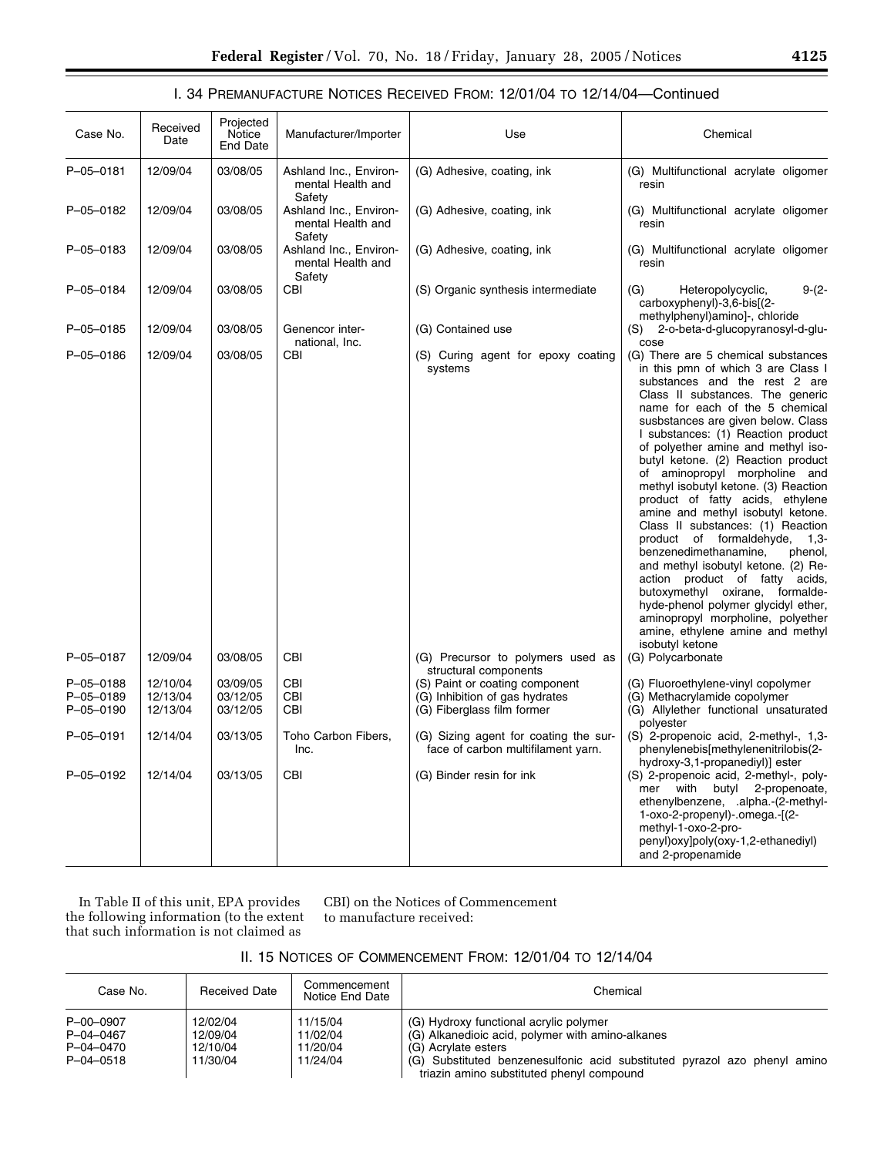# I. 34 PREMANUFACTURE NOTICES RECEIVED FROM: 12/01/04 TO 12/14/04—Continued

| Case No.                            | Received<br>Date                 | Projected<br>Notice<br><b>End Date</b> | Manufacturer/Importer                                 | Use                                                                                            | Chemical                                                                                                                                                                                                                                                                                                                                                                                                                                                                                                                                                                                                                                                                                                                                                                                                                                                  |
|-------------------------------------|----------------------------------|----------------------------------------|-------------------------------------------------------|------------------------------------------------------------------------------------------------|-----------------------------------------------------------------------------------------------------------------------------------------------------------------------------------------------------------------------------------------------------------------------------------------------------------------------------------------------------------------------------------------------------------------------------------------------------------------------------------------------------------------------------------------------------------------------------------------------------------------------------------------------------------------------------------------------------------------------------------------------------------------------------------------------------------------------------------------------------------|
| $P - 05 - 0181$                     | 12/09/04                         | 03/08/05                               | Ashland Inc., Environ-<br>mental Health and<br>Safety | (G) Adhesive, coating, ink                                                                     | (G) Multifunctional acrylate oligomer<br>resin                                                                                                                                                                                                                                                                                                                                                                                                                                                                                                                                                                                                                                                                                                                                                                                                            |
| P-05-0182                           | 12/09/04                         | 03/08/05                               | Ashland Inc., Environ-<br>mental Health and<br>Safety | (G) Adhesive, coating, ink                                                                     | (G) Multifunctional acrylate oligomer<br>resin                                                                                                                                                                                                                                                                                                                                                                                                                                                                                                                                                                                                                                                                                                                                                                                                            |
| P-05-0183                           | 12/09/04                         | 03/08/05                               | Ashland Inc., Environ-<br>mental Health and<br>Safety | (G) Adhesive, coating, ink                                                                     | (G) Multifunctional acrylate oligomer<br>resin                                                                                                                                                                                                                                                                                                                                                                                                                                                                                                                                                                                                                                                                                                                                                                                                            |
| P-05-0184                           | 12/09/04                         | 03/08/05                               | CBI                                                   | (S) Organic synthesis intermediate                                                             | (G)<br>Heteropolycyclic,<br>$9-(2-$<br>carboxyphenyl)-3,6-bis[(2-<br>methylphenyl)amino]-, chloride                                                                                                                                                                                                                                                                                                                                                                                                                                                                                                                                                                                                                                                                                                                                                       |
| P-05-0185                           | 12/09/04                         | 03/08/05                               | Genencor inter-<br>national, Inc.                     | (G) Contained use                                                                              | 2-o-beta-d-glucopyranosyl-d-glu-<br>(S)<br>cose                                                                                                                                                                                                                                                                                                                                                                                                                                                                                                                                                                                                                                                                                                                                                                                                           |
| P-05-0186                           | 12/09/04                         | 03/08/05                               | CBI                                                   | (S) Curing agent for epoxy coating<br>systems                                                  | (G) There are 5 chemical substances<br>in this pmn of which 3 are Class I<br>substances and the rest 2 are<br>Class II substances. The generic<br>name for each of the 5 chemical<br>susbstances are given below. Class<br>I substances: (1) Reaction product<br>of polyether amine and methyl iso-<br>butyl ketone. (2) Reaction product<br>of aminopropyl morpholine and<br>methyl isobutyl ketone. (3) Reaction<br>product of fatty acids, ethylene<br>amine and methyl isobutyl ketone.<br>Class II substances: (1) Reaction<br>product of formaldehyde,<br>$1,3-$<br>benzenedimethanamine,<br>phenol,<br>and methyl isobutyl ketone. (2) Re-<br>action product of fatty acids,<br>butoxymethyl oxirane, formalde-<br>hyde-phenol polymer glycidyl ether,<br>aminopropyl morpholine, polyether<br>amine, ethylene amine and methyl<br>isobutyl ketone |
| P-05-0187                           | 12/09/04                         | 03/08/05                               | CBI                                                   | (G) Precursor to polymers used as<br>structural components                                     | (G) Polycarbonate                                                                                                                                                                                                                                                                                                                                                                                                                                                                                                                                                                                                                                                                                                                                                                                                                                         |
| P-05-0188<br>P-05-0189<br>P-05-0190 | 12/10/04<br>12/13/04<br>12/13/04 | 03/09/05<br>03/12/05<br>03/12/05       | <b>CBI</b><br><b>CBI</b><br>CBI                       | (S) Paint or coating component<br>(G) Inhibition of gas hydrates<br>(G) Fiberglass film former | (G) Fluoroethylene-vinyl copolymer<br>(G) Methacrylamide copolymer<br>(G) Allylether functional unsaturated<br>polyester                                                                                                                                                                                                                                                                                                                                                                                                                                                                                                                                                                                                                                                                                                                                  |
| P-05-0191                           | 12/14/04                         | 03/13/05                               | Toho Carbon Fibers,<br>Inc.                           | (G) Sizing agent for coating the sur-<br>face of carbon multifilament yarn.                    | (S) 2-propenoic acid, 2-methyl-, 1,3-<br>phenylenebis[methylenenitrilobis(2-                                                                                                                                                                                                                                                                                                                                                                                                                                                                                                                                                                                                                                                                                                                                                                              |
| P-05-0192                           | 12/14/04                         | 03/13/05                               | <b>CBI</b>                                            | (G) Binder resin for ink                                                                       | hydroxy-3,1-propanediyl)] ester<br>(S) 2-propenoic acid, 2-methyl-, poly-<br>with butyl<br>2-propenoate,<br>mer<br>ethenylbenzene, .alpha.-(2-methyl-<br>1-oxo-2-propenyl)-.omega.-[(2-<br>methyl-1-oxo-2-pro-<br>penyl)oxy]poly(oxy-1,2-ethanediyl)<br>and 2-propenamide                                                                                                                                                                                                                                                                                                                                                                                                                                                                                                                                                                                 |

In Table II of this unit, EPA provides the following information (to the extent that such information is not claimed as

CBI) on the Notices of Commencement to manufacture received:

|  | II. 15 NOTICES OF COMMENCEMENT FROM: 12/01/04 TO 12/14/04 |
|--|-----------------------------------------------------------|
|--|-----------------------------------------------------------|

| Case No.                                                     | <b>Received Date</b>                         | Commencement<br>Notice End Date              | Chemical                                                                                                                                                                                                                                    |
|--------------------------------------------------------------|----------------------------------------------|----------------------------------------------|---------------------------------------------------------------------------------------------------------------------------------------------------------------------------------------------------------------------------------------------|
| P-00-0907<br>$P - 04 - 0467$<br>P-04-0470<br>$P - 04 - 0518$ | 12/02/04<br>12/09/04<br>12/10/04<br>11/30/04 | 11/15/04<br>11/02/04<br>11/20/04<br>11/24/04 | (G) Hydroxy functional acrylic polymer<br>(G) Alkanedioic acid, polymer with amino-alkanes<br>(G) Acrylate esters<br>(G) Substituted benzenesulfonic acid substituted pyrazol azo phenyl amino<br>triazin amino substituted phenyl compound |